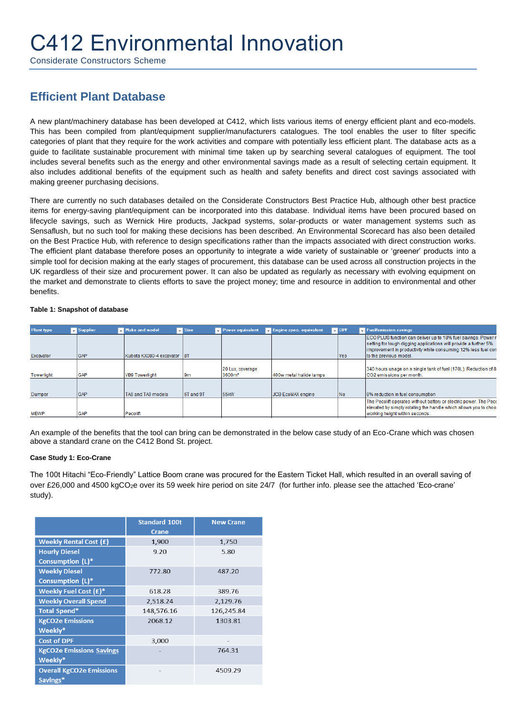## C412 Environmental Innovation

Considerate Constructors Scheme

## **Efficient Plant Database**

A new plant/machinery database has been developed at C412, which lists various items of energy efficient plant and eco-models. This has been compiled from plant/equipment supplier/manufacturers catalogues. The tool enables the user to filter specific categories of plant that they require for the work activities and compare with potentially less efficient plant. The database acts as a guide to facilitate sustainable procurement with minimal time taken up by searching several catalogues of equipment. The tool includes several benefits such as the energy and other environmental savings made as a result of selecting certain equipment. It also includes additional benefits of the equipment such as health and safety benefits and direct cost savings associated with making greener purchasing decisions.

There are currently no such databases detailed on the Considerate Constructors Best Practice Hub, although other best practice items for energy-saving plant/equipment can be incorporated into this database. Individual items have been procured based on lifecycle savings, such as Wernick Hire products, Jackpad systems, solar-products or water management systems such as Sensaflush, but no such tool for making these decisions has been described. An Environmental Scorecard has also been detailed on the Best Practice Hub, with reference to design specifications rather than the impacts associated with direct construction works. The efficient plant database therefore poses an opportunity to integrate a wide variety of sustainable or 'greener' products into a simple tool for decision making at the early stages of procurement, this database can be used across all construction projects in the UK regardless of their size and procurement power. It can also be updated as regularly as necessary with evolving equipment on the market and demonstrate to clients efforts to save the project money; time and resource in addition to environmental and other benefits.

| Plant type    | Supplier   | Make and model              | $\overline{z}$ Size | Power equivalent                        | Engine spec. equivalent | $\blacksquare$ DPF | Fuellemission savings                                                                                                                                                                                                        |
|---------------|------------|-----------------------------|---------------------|-----------------------------------------|-------------------------|--------------------|------------------------------------------------------------------------------------------------------------------------------------------------------------------------------------------------------------------------------|
| Excavator     | <b>GAP</b> | Kubota KX080-4 excavator 8T |                     |                                         |                         | <b>Yes</b>         | ECO PLUS function can deliver up to 18% fuel savings. Power r<br>setting for tough digging applications will provide a further 5%<br>improvement in productivity while consuming 12% less fuel con<br>to the previous model. |
| Towerlight    | <b>GAP</b> | <b>VB9 Towerlight</b>       | 9m                  | 120 Lux, coverage<br>3600m <sup>2</sup> | 400w metal halide lamps |                    | 340 hours usage on a single tank of fuel (170L). Reduction of 8<br>CO2 emissions per month.                                                                                                                                  |
| <b>Dumper</b> | <b>GAP</b> | TA6 and TA9 models          | <b>6T</b> and 9T    | 55 <sub>k</sub> W                       | JCB EcoMAX engine       | IN <sub>o</sub>    | 8% reduction in fuel consumption                                                                                                                                                                                             |
| <b>MEWP</b>   | GAP        | Pecolift                    |                     |                                         |                         |                    | The Pecolift operates without battery or electric power. The Peco<br>elevated by simply rotating the handle which allows you to choo<br>working height within seconds.                                                       |

## **Table 1: Snapshot of database**

An example of the benefits that the tool can bring can be demonstrated in the below case study of an Eco-Crane which was chosen above a standard crane on the C412 Bond St. project.

## **Case Study 1: Eco-Crane**

The 100t Hitachi "Eco-Friendly" Lattice Boom crane was procured for the Eastern Ticket Hall, which resulted in an overall saving of over £26,000 and 4500 kgCO<sub>2</sub>e over its 59 week hire period on site 24/7 (for further info. please see the attached 'Eco-crane' study).

|                                 | <b>Standard 100t</b><br><b>Crane</b> | <b>New Crane</b> |
|---------------------------------|--------------------------------------|------------------|
| <b>Weekly Rental Cost (£)</b>   | 1,900                                | 1,750            |
| <b>Hourly Diesel</b>            | 9.20                                 | 5.80             |
| Consumption (L)*                |                                      |                  |
| <b>Weekly Diesel</b>            | 772.80                               | 487.20           |
| <b>Consumption (L)*</b>         |                                      |                  |
| Weekly Fuel Cost (£)*           | 618.28                               | 389.76           |
| <b>Weekly Overall Spend</b>     | 2,518.24                             | 2,129.76         |
| <b>Total Spend*</b>             | 148,576.16                           | 126,245.84       |
| <b>KgCO2e Emissions</b>         | 2068.12                              | 1303.81          |
| Weekly*                         |                                      |                  |
| <b>Cost of DPF</b>              | 3,000                                |                  |
| <b>KgCO2e Emissions Savings</b> |                                      | 764.31           |
| Weekly*                         |                                      |                  |
| <b>Overall KgCO2e Emissions</b> |                                      | 4509.29          |
| Savings*                        |                                      |                  |